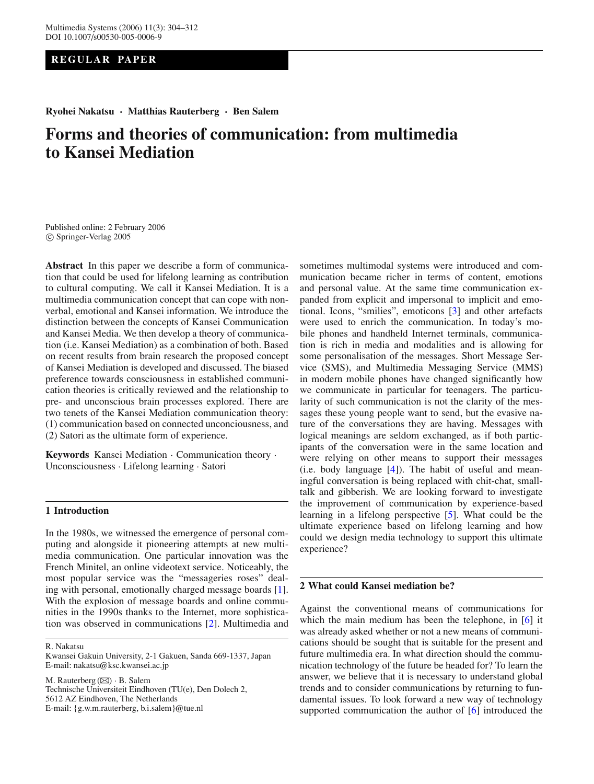# **REGULAR PAPER**

**Ryohei Nakatsu · Matthias Rauterberg · Ben Salem**

# **Forms and theories of communication: from multimedia to Kansei Mediation**

Published online: 2 February 2006 c Springer-Verlag 2005

**Abstract** In this paper we describe a form of communication that could be used for lifelong learning as contribution to cultural computing. We call it Kansei Mediation. It is a multimedia communication concept that can cope with nonverbal, emotional and Kansei information. We introduce the distinction between the concepts of Kansei Communication and Kansei Media. We then develop a theory of communication (i.e. Kansei Mediation) as a combination of both. Based on recent results from brain research the proposed concept of Kansei Mediation is developed and discussed. The biased preference towards consciousness in established communication theories is critically reviewed and the relationship to pre- and unconscious brain processes explored. There are two tenets of the Kansei Mediation communication theory: (1) communication based on connected unconciousness, and (2) Satori as the ultimate form of experience.

**Keywords** Kansei Mediation · Communication theory · Unconsciousness · Lifelong learning · Satori

## **1 Introduction**

In the 1980s, we witnessed the emergence of personal computing and alongside it pioneering attempts at new multimedia communication. One particular innovation was the French Minitel, an online videotext service. Noticeably, the most popular service was the "messageries roses" dealing with personal, emotionally charged message boards [\[1](#page-6-0)]. With the explosion of message boards and online communities in the 1990s thanks to the Internet, more sophistication was observed in communications [\[2](#page-7-0)]. Multimedia and

R. Nakatsu

Kwansei Gakuin University, 2-1 Gakuen, Sanda 669-1337, Japan E-mail: nakatsu@ksc.kwansei.ac.jp

M. Rauterberg  $(\boxtimes) \cdot B$ . Salem Technische Universiteit Eindhoven (TU(e), Den Dolech 2, 5612 AZ Eindhoven, The Netherlands E-mail: {g.w.m.rauterberg, b.i.salem}@tue.nl

sometimes multimodal systems were introduced and communication became richer in terms of content, emotions and personal value. At the same time communication expanded from explicit and impersonal to implicit and emotional. Icons, "smilies", emoticons [\[3\]](#page-7-1) and other artefacts were used to enrich the communication. In today's mobile phones and handheld Internet terminals, communication is rich in media and modalities and is allowing for some personalisation of the messages. Short Message Service (SMS), and Multimedia Messaging Service (MMS) in modern mobile phones have changed significantly how we communicate in particular for teenagers. The particularity of such communication is not the clarity of the messages these young people want to send, but the evasive nature of the conversations they are having. Messages with logical meanings are seldom exchanged, as if both participants of the conversation were in the same location and were relying on other means to support their messages (i.e. body language  $[4]$  $[4]$ ). The habit of useful and meaningful conversation is being replaced with chit-chat, smalltalk and gibberish. We are looking forward to investigate the improvement of communication by experience-based learning in a lifelong perspective [\[5\]](#page-7-3). What could be the ultimate experience based on lifelong learning and how could we design media technology to support this ultimate experience?

# **2 What could Kansei mediation be?**

Against the conventional means of communications for which the main medium has been the telephone, in [\[6\]](#page-7-4) it was already asked whether or not a new means of communications should be sought that is suitable for the present and future multimedia era. In what direction should the communication technology of the future be headed for? To learn the answer, we believe that it is necessary to understand global trends and to consider communications by returning to fundamental issues. To look forward a new way of technology supported communication the author of [\[6](#page-7-4)] introduced the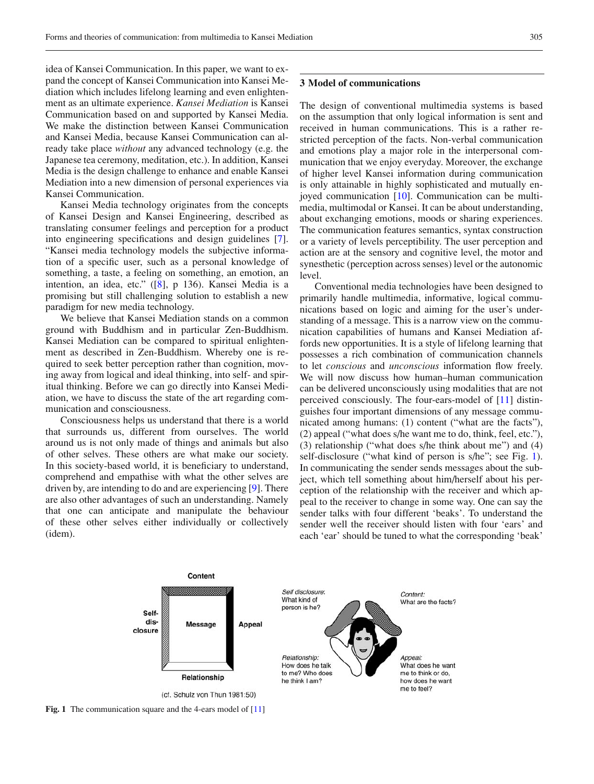idea of Kansei Communication. In this paper, we want to expand the concept of Kansei Communication into Kansei Mediation which includes lifelong learning and even enlightenment as an ultimate experience. *Kansei Mediation* is Kansei Communication based on and supported by Kansei Media. We make the distinction between Kansei Communication and Kansei Media, because Kansei Communication can already take place *without* any advanced technology (e.g. the Japanese tea ceremony, meditation, etc.). In addition, Kansei Media is the design challenge to enhance and enable Kansei Mediation into a new dimension of personal experiences via Kansei Communication.

Kansei Media technology originates from the concepts of Kansei Design and Kansei Engineering, described as translating consumer feelings and perception for a product into engineering specifications and design guidelines [\[7](#page-7-5)]. "Kansei media technology models the subjective information of a specific user, such as a personal knowledge of something, a taste, a feeling on something, an emotion, an intention, an idea, etc." ([\[8\]](#page-7-6), p 136). Kansei Media is a promising but still challenging solution to establish a new paradigm for new media technology.

We believe that Kansei Mediation stands on a common ground with Buddhism and in particular Zen-Buddhism. Kansei Mediation can be compared to spiritual enlightenment as described in Zen-Buddhism. Whereby one is required to seek better perception rather than cognition, moving away from logical and ideal thinking, into self- and spiritual thinking. Before we can go directly into Kansei Mediation, we have to discuss the state of the art regarding communication and consciousness.

Consciousness helps us understand that there is a world that surrounds us, different from ourselves. The world around us is not only made of things and animals but also of other selves. These others are what make our society. In this society-based world, it is beneficiary to understand, comprehend and empathise with what the other selves are driven by, are intending to do and are experiencing [\[9](#page-7-7)]. There are also other advantages of such an understanding. Namely that one can anticipate and manipulate the behaviour of these other selves either individually or collectively (idem).

#### **3 Model of communications**

The design of conventional multimedia systems is based on the assumption that only logical information is sent and received in human communications. This is a rather restricted perception of the facts. Non-verbal communication and emotions play a major role in the interpersonal communication that we enjoy everyday. Moreover, the exchange of higher level Kansei information during communication is only attainable in highly sophisticated and mutually en-joyed communication [\[10\]](#page-7-9). Communication can be multimedia, multimodal or Kansei. It can be about understanding, about exchanging emotions, moods or sharing experiences. The communication features semantics, syntax construction or a variety of levels perceptibility. The user perception and action are at the sensory and cognitive level, the motor and synesthetic (perception across senses) level or the autonomic level.

Conventional media technologies have been designed to primarily handle multimedia, informative, logical communications based on logic and aiming for the user's understanding of a message. This is a narrow view on the communication capabilities of humans and Kansei Mediation affords new opportunities. It is a style of lifelong learning that possesses a rich combination of communication channels to let *conscious* and *unconscious* information flow freely. We will now discuss how human–human communication can be delivered unconsciously using modalities that are not perceived consciously. The four-ears-model of [\[11\]](#page-7-8) distinguishes four important dimensions of any message communicated among humans: (1) content ("what are the facts"), (2) appeal ("what does s/he want me to do, think, feel, etc."), (3) relationship ("what does s/he think about me") and (4) self-disclosure ("what kind of person is s/he"; see Fig. [1\)](#page-1-0). In communicating the sender sends messages about the subject, which tell something about him/herself about his perception of the relationship with the receiver and which appeal to the receiver to change in some way. One can say the sender talks with four different 'beaks'. To understand the sender well the receiver should listen with four 'ears' and each 'ear' should be tuned to what the corresponding 'beak'



<span id="page-1-0"></span>**Fig. 1** The communication square and the 4-ears model of [\[11\]](#page-7-8)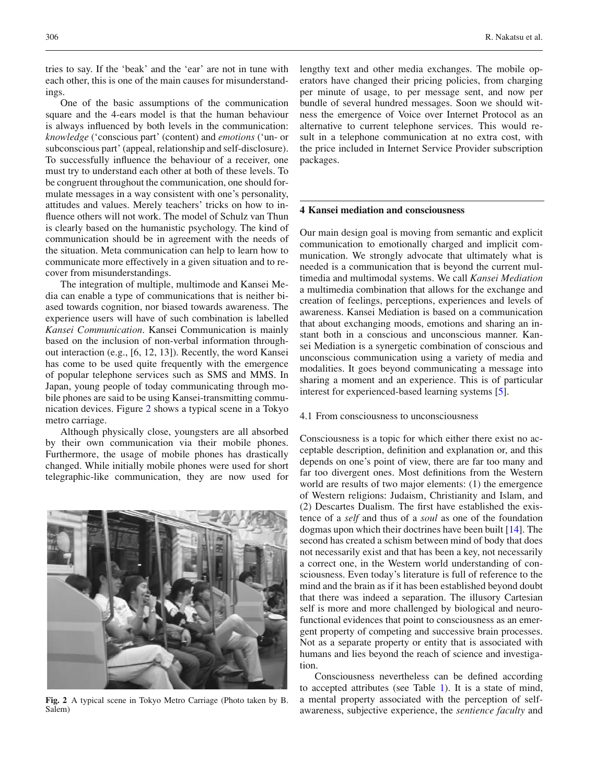tries to say. If the 'beak' and the 'ear' are not in tune with each other, this is one of the main causes for misunderstandings.

One of the basic assumptions of the communication square and the 4-ears model is that the human behaviour is always influenced by both levels in the communication: *knowledge* ('conscious part' (content) and *emotions* ('un- or subconscious part' (appeal, relationship and self-disclosure). To successfully influence the behaviour of a receiver, one must try to understand each other at both of these levels. To be congruent throughout the communication, one should formulate messages in a way consistent with one's personality, attitudes and values. Merely teachers' tricks on how to influence others will not work. The model of Schulz van Thun is clearly based on the humanistic psychology. The kind of communication should be in agreement with the needs of the situation. Meta communication can help to learn how to communicate more effectively in a given situation and to recover from misunderstandings.

The integration of multiple, multimode and Kansei Media can enable a type of communications that is neither biased towards cognition, nor biased towards awareness. The experience users will have of such combination is labelled *Kansei Communication*. Kansei Communication is mainly based on the inclusion of non-verbal information throughout interaction (e.g., [6, 12, 13]). Recently, the word Kansei has come to be used quite frequently with the emergence of popular telephone services such as SMS and MMS. In Japan, young people of today communicating through mobile phones are said to be using Kansei-transmitting communication devices. Figure [2](#page-2-0) shows a typical scene in a Tokyo metro carriage.

Although physically close, youngsters are all absorbed by their own communication via their mobile phones. Furthermore, the usage of mobile phones has drastically changed. While initially mobile phones were used for short telegraphic-like communication, they are now used for

<span id="page-2-0"></span>

**Fig. 2** A typical scene in Tokyo Metro Carriage (Photo taken by B. Salem)

lengthy text and other media exchanges. The mobile operators have changed their pricing policies, from charging per minute of usage, to per message sent, and now per bundle of several hundred messages. Soon we should witness the emergence of Voice over Internet Protocol as an alternative to current telephone services. This would result in a telephone communication at no extra cost, with the price included in Internet Service Provider subscription packages.

# **4 Kansei mediation and consciousness**

Our main design goal is moving from semantic and explicit communication to emotionally charged and implicit communication. We strongly advocate that ultimately what is needed is a communication that is beyond the current multimedia and multimodal systems. We call *Kansei Mediation* a multimedia combination that allows for the exchange and creation of feelings, perceptions, experiences and levels of awareness. Kansei Mediation is based on a communication that about exchanging moods, emotions and sharing an instant both in a conscious and unconscious manner. Kansei Mediation is a synergetic combination of conscious and unconscious communication using a variety of media and modalities. It goes beyond communicating a message into sharing a moment and an experience. This is of particular interest for experienced-based learning systems [\[5](#page-7-3)].

### 4.1 From consciousness to unconsciousness

Consciousness is a topic for which either there exist no acceptable description, definition and explanation or, and this depends on one's point of view, there are far too many and far too divergent ones. Most definitions from the Western world are results of two major elements: (1) the emergence of Western religions: Judaism, Christianity and Islam, and (2) Descartes Dualism. The first have established the existence of a *self* and thus of a *soul* as one of the foundation dogmas upon which their doctrines have been built [\[14\]](#page-7-10). The second has created a schism between mind of body that does not necessarily exist and that has been a key, not necessarily a correct one, in the Western world understanding of consciousness. Even today's literature is full of reference to the mind and the brain as if it has been established beyond doubt that there was indeed a separation. The illusory Cartesian self is more and more challenged by biological and neurofunctional evidences that point to consciousness as an emergent property of competing and successive brain processes. Not as a separate property or entity that is associated with humans and lies beyond the reach of science and investigation.

Consciousness nevertheless can be defined according to accepted attributes (see Table [1\)](#page-3-0). It is a state of mind, a mental property associated with the perception of selfawareness, subjective experience, the *sentience faculty* and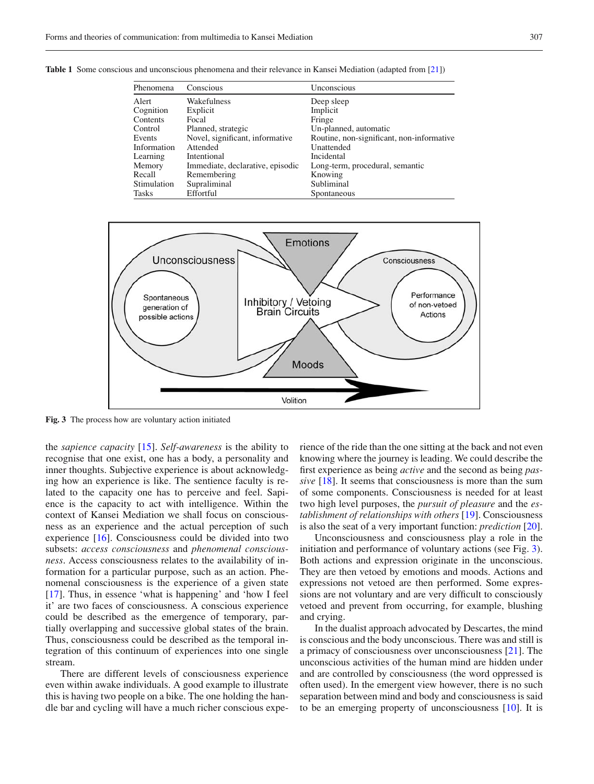| Phenomena    | Conscious                        | Unconscious                               |
|--------------|----------------------------------|-------------------------------------------|
| Alert        | Wakefulness                      | Deep sleep                                |
| Cognition    | Explicit                         | Implicit                                  |
| Contents     | Focal                            | Fringe                                    |
| Control      | Planned, strategic               | Un-planned, automatic                     |
| Events       | Novel, significant, informative  | Routine, non-significant, non-informative |
| Information  | Attended                         | Unattended                                |
| Learning     | Intentional                      | Incidental                                |
| Memory       | Immediate, declarative, episodic | Long-term, procedural, semantic           |
| Recall       | Remembering                      | Knowing                                   |
| Stimulation  | Supraliminal                     | Subliminal                                |
| <b>Tasks</b> | Effortful                        | Spontaneous                               |

<span id="page-3-0"></span>**Table 1** Some conscious and unconscious phenomena and their relevance in Kansei Mediation (adapted from [\[21](#page-7-11)])



<span id="page-3-1"></span>**Fig. 3** The process how are voluntary action initiated

the *sapience capacity* [\[15\]](#page-7-12). *Self-awareness* is the ability to recognise that one exist, one has a body, a personality and inner thoughts. Subjective experience is about acknowledging how an experience is like. The sentience faculty is related to the capacity one has to perceive and feel. Sapience is the capacity to act with intelligence. Within the context of Kansei Mediation we shall focus on consciousness as an experience and the actual perception of such experience [\[16\]](#page-7-13). Consciousness could be divided into two subsets: *access consciousness* and *phenomenal consciousness*. Access consciousness relates to the availability of information for a particular purpose, such as an action. Phenomenal consciousness is the experience of a given state [\[17](#page-7-14)]. Thus, in essence 'what is happening' and 'how I feel it' are two faces of consciousness. A conscious experience could be described as the emergence of temporary, partially overlapping and successive global states of the brain. Thus, consciousness could be described as the temporal integration of this continuum of experiences into one single stream.

There are different levels of consciousness experience even within awake individuals. A good example to illustrate this is having two people on a bike. The one holding the handle bar and cycling will have a much richer conscious experience of the ride than the one sitting at the back and not even knowing where the journey is leading. We could describe the first experience as being *active* and the second as being *passive* [\[18\]](#page-7-15). It seems that consciousness is more than the sum of some components. Consciousness is needed for at least two high level purposes, the *pursuit of pleasure* and the *establishment of relationships with others* [\[19\]](#page-7-16). Consciousness is also the seat of a very important function: *prediction* [\[20\]](#page-7-17).

Unconsciousness and consciousness play a role in the initiation and performance of voluntary actions (see Fig. [3\)](#page-3-1). Both actions and expression originate in the unconscious. They are then vetoed by emotions and moods. Actions and expressions not vetoed are then performed. Some expressions are not voluntary and are very difficult to consciously vetoed and prevent from occurring, for example, blushing and crying.

In the dualist approach advocated by Descartes, the mind is conscious and the body unconscious. There was and still is a primacy of consciousness over unconsciousness [\[21](#page-7-11)]. The unconscious activities of the human mind are hidden under and are controlled by consciousness (the word oppressed is often used). In the emergent view however, there is no such separation between mind and body and consciousness is said to be an emerging property of unconsciousness [\[10](#page-7-9)]. It is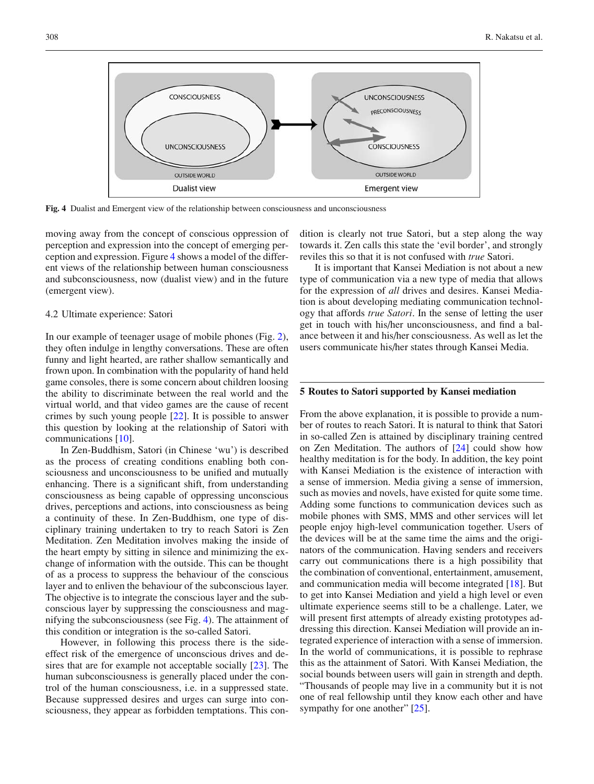

<span id="page-4-0"></span>**Fig. 4** Dualist and Emergent view of the relationship between consciousness and unconsciousness

moving away from the concept of conscious oppression of perception and expression into the concept of emerging perception and expression. Figure [4](#page-4-0) shows a model of the different views of the relationship between human consciousness and subconsciousness, now (dualist view) and in the future (emergent view).

#### 4.2 Ultimate experience: Satori

In our example of teenager usage of mobile phones (Fig. [2\)](#page-2-0), they often indulge in lengthy conversations. These are often funny and light hearted, are rather shallow semantically and frown upon. In combination with the popularity of hand held game consoles, there is some concern about children loosing the ability to discriminate between the real world and the virtual world, and that video games are the cause of recent crimes by such young people [\[22\]](#page-7-18). It is possible to answer this question by looking at the relationship of Satori with communications [\[10\]](#page-7-9).

In Zen-Buddhism, Satori (in Chinese 'wu') is described as the process of creating conditions enabling both consciousness and unconsciousness to be unified and mutually enhancing. There is a significant shift, from understanding consciousness as being capable of oppressing unconscious drives, perceptions and actions, into consciousness as being a continuity of these. In Zen-Buddhism, one type of disciplinary training undertaken to try to reach Satori is Zen Meditation. Zen Meditation involves making the inside of the heart empty by sitting in silence and minimizing the exchange of information with the outside. This can be thought of as a process to suppress the behaviour of the conscious layer and to enliven the behaviour of the subconscious layer. The objective is to integrate the conscious layer and the subconscious layer by suppressing the consciousness and magnifying the subconsciousness (see Fig. [4\)](#page-4-0). The attainment of this condition or integration is the so-called Satori.

However, in following this process there is the sideeffect risk of the emergence of unconscious drives and de-sires that are for example not acceptable socially [\[23](#page-7-19)]. The human subconsciousness is generally placed under the control of the human consciousness, i.e. in a suppressed state. Because suppressed desires and urges can surge into consciousness, they appear as forbidden temptations. This condition is clearly not true Satori, but a step along the way towards it. Zen calls this state the 'evil border', and strongly reviles this so that it is not confused with *true* Satori.

It is important that Kansei Mediation is not about a new type of communication via a new type of media that allows for the expression of *all* drives and desires. Kansei Mediation is about developing mediating communication technology that affords *true Satori*. In the sense of letting the user get in touch with his/her unconsciousness, and find a balance between it and his/her consciousness. As well as let the users communicate his/her states through Kansei Media.

#### **5 Routes to Satori supported by Kansei mediation**

From the above explanation, it is possible to provide a number of routes to reach Satori. It is natural to think that Satori in so-called Zen is attained by disciplinary training centred on Zen Meditation. The authors of [\[24\]](#page-7-20) could show how healthy meditation is for the body. In addition, the key point with Kansei Mediation is the existence of interaction with a sense of immersion. Media giving a sense of immersion, such as movies and novels, have existed for quite some time. Adding some functions to communication devices such as mobile phones with SMS, MMS and other services will let people enjoy high-level communication together. Users of the devices will be at the same time the aims and the originators of the communication. Having senders and receivers carry out communications there is a high possibility that the combination of conventional, entertainment, amusement, and communication media will become integrated [\[18](#page-7-15)]. But to get into Kansei Mediation and yield a high level or even ultimate experience seems still to be a challenge. Later, we will present first attempts of already existing prototypes addressing this direction. Kansei Mediation will provide an integrated experience of interaction with a sense of immersion. In the world of communications, it is possible to rephrase this as the attainment of Satori. With Kansei Mediation, the social bounds between users will gain in strength and depth. "Thousands of people may live in a community but it is not one of real fellowship until they know each other and have sympathy for one another" [\[25](#page-7-21)].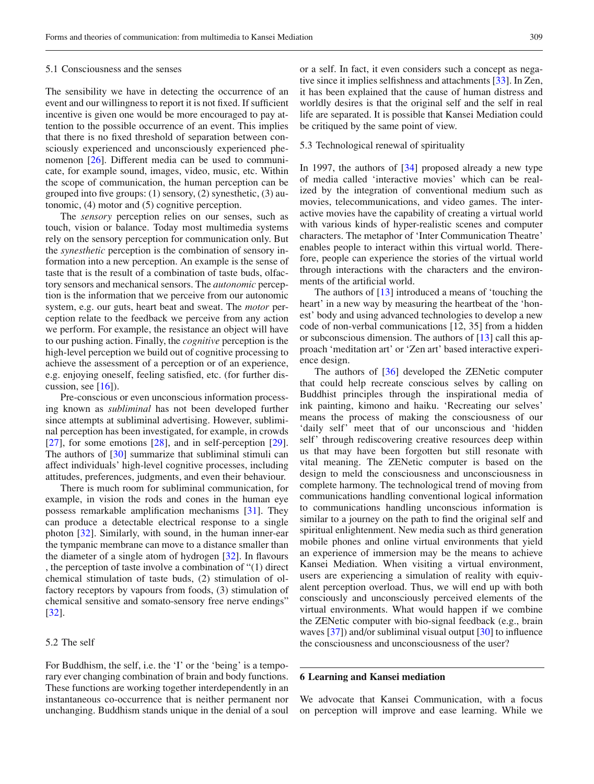#### 5.1 Consciousness and the senses

The sensibility we have in detecting the occurrence of an event and our willingness to report it is not fixed. If sufficient incentive is given one would be more encouraged to pay attention to the possible occurrence of an event. This implies that there is no fixed threshold of separation between consciously experienced and unconsciously experienced phenomenon [\[26](#page-7-22)]. Different media can be used to communicate, for example sound, images, video, music, etc. Within the scope of communication, the human perception can be grouped into five groups: (1) sensory, (2) synesthetic, (3) autonomic, (4) motor and (5) cognitive perception.

The *sensory* perception relies on our senses, such as touch, vision or balance. Today most multimedia systems rely on the sensory perception for communication only. But the *synesthetic* perception is the combination of sensory information into a new perception. An example is the sense of taste that is the result of a combination of taste buds, olfactory sensors and mechanical sensors. The *autonomic* perception is the information that we perceive from our autonomic system, e.g. our guts, heart beat and sweat. The *motor* perception relate to the feedback we perceive from any action we perform. For example, the resistance an object will have to our pushing action. Finally, the *cognitive* perception is the high-level perception we build out of cognitive processing to achieve the assessment of a perception or of an experience, e.g. enjoying oneself, feeling satisfied, etc. (for further discussion, see  $[16]$  $[16]$ ).

Pre-conscious or even unconscious information processing known as *subliminal* has not been developed further since attempts at subliminal advertising. However, subliminal perception has been investigated, for example, in crowds  $[27]$  $[27]$ , for some emotions  $[28]$ , and in self-perception  $[29]$  $[29]$ . The authors of [\[30\]](#page-7-26) summarize that subliminal stimuli can affect individuals' high-level cognitive processes, including attitudes, preferences, judgments, and even their behaviour.

There is much room for subliminal communication, for example, in vision the rods and cones in the human eye possess remarkable amplification mechanisms [\[31\]](#page-7-27). They can produce a detectable electrical response to a single photon [\[32\]](#page-7-28). Similarly, with sound, in the human inner-ear the tympanic membrane can move to a distance smaller than the diameter of a single atom of hydrogen [\[32](#page-7-28)]. In flavours , the perception of taste involve a combination of "(1) direct chemical stimulation of taste buds, (2) stimulation of olfactory receptors by vapours from foods, (3) stimulation of chemical sensitive and somato-sensory free nerve endings" [\[32](#page-7-28)].

# 5.2 The self

For Buddhism, the self, i.e. the 'I' or the 'being' is a temporary ever changing combination of brain and body functions. These functions are working together interdependently in an instantaneous co-occurrence that is neither permanent nor unchanging. Buddhism stands unique in the denial of a soul or a self. In fact, it even considers such a concept as negative since it implies selfishness and attachments [\[33\]](#page-7-29). In Zen, it has been explained that the cause of human distress and worldly desires is that the original self and the self in real life are separated. It is possible that Kansei Mediation could be critiqued by the same point of view.

#### 5.3 Technological renewal of spirituality

In 1997, the authors of [\[34](#page-7-30)] proposed already a new type of media called 'interactive movies' which can be realized by the integration of conventional medium such as movies, telecommunications, and video games. The interactive movies have the capability of creating a virtual world with various kinds of hyper-realistic scenes and computer characters. The metaphor of 'Inter Communication Theatre' enables people to interact within this virtual world. Therefore, people can experience the stories of the virtual world through interactions with the characters and the environments of the artificial world.

The authors of [\[13\]](#page-7-31) introduced a means of 'touching the heart' in a new way by measuring the heartbeat of the 'honest' body and using advanced technologies to develop a new code of non-verbal communications [12, 35] from a hidden or subconscious dimension. The authors of [\[13\]](#page-7-31) call this approach 'meditation art' or 'Zen art' based interactive experience design.

The authors of [\[36](#page-7-32)] developed the ZENetic computer that could help recreate conscious selves by calling on Buddhist principles through the inspirational media of ink painting, kimono and haiku. 'Recreating our selves' means the process of making the consciousness of our 'daily self' meet that of our unconscious and 'hidden self' through rediscovering creative resources deep within us that may have been forgotten but still resonate with vital meaning. The ZENetic computer is based on the design to meld the consciousness and unconsciousness in complete harmony. The technological trend of moving from communications handling conventional logical information to communications handling unconscious information is similar to a journey on the path to find the original self and spiritual enlightenment. New media such as third generation mobile phones and online virtual environments that yield an experience of immersion may be the means to achieve Kansei Mediation. When visiting a virtual environment, users are experiencing a simulation of reality with equivalent perception overload. Thus, we will end up with both consciously and unconsciously perceived elements of the virtual environments. What would happen if we combine the ZENetic computer with bio-signal feedback (e.g., brain waves [\[37\]](#page-7-33)) and/or subliminal visual output [\[30\]](#page-7-26) to influence the consciousness and unconsciousness of the user?

## **6 Learning and Kansei mediation**

We advocate that Kansei Communication, with a focus on perception will improve and ease learning. While we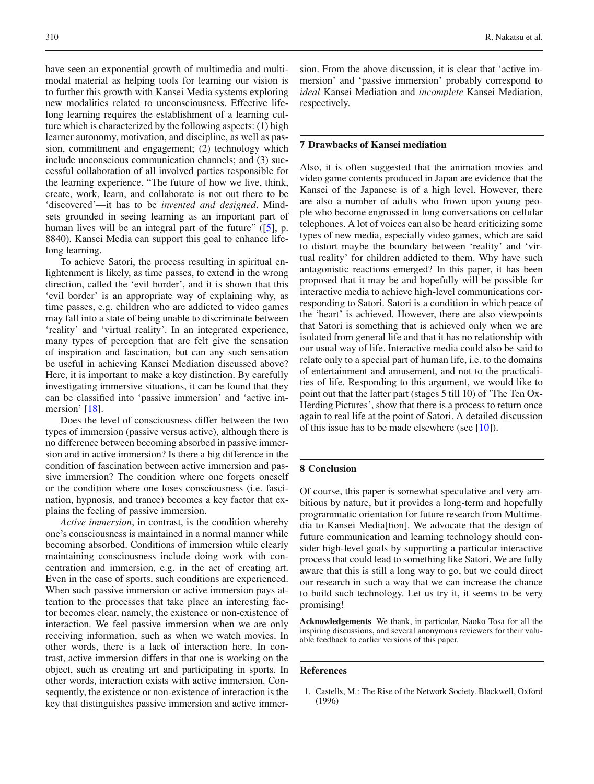have seen an exponential growth of multimedia and multimodal material as helping tools for learning our vision is to further this growth with Kansei Media systems exploring new modalities related to unconsciousness. Effective lifelong learning requires the establishment of a learning culture which is characterized by the following aspects: (1) high learner autonomy, motivation, and discipline, as well as passion, commitment and engagement; (2) technology which include unconscious communication channels; and (3) successful collaboration of all involved parties responsible for the learning experience. "The future of how we live, think, create, work, learn, and collaborate is not out there to be 'discovered'—it has to be *invented and designed*. Mindsets grounded in seeing learning as an important part of human lives will be an integral part of the future" ([\[5\]](#page-7-3), p. 8840). Kansei Media can support this goal to enhance lifelong learning.

To achieve Satori, the process resulting in spiritual enlightenment is likely, as time passes, to extend in the wrong direction, called the 'evil border', and it is shown that this 'evil border' is an appropriate way of explaining why, as time passes, e.g. children who are addicted to video games may fall into a state of being unable to discriminate between 'reality' and 'virtual reality'. In an integrated experience, many types of perception that are felt give the sensation of inspiration and fascination, but can any such sensation be useful in achieving Kansei Mediation discussed above? Here, it is important to make a key distinction. By carefully investigating immersive situations, it can be found that they can be classified into 'passive immersion' and 'active immersion' [\[18\]](#page-7-15).

Does the level of consciousness differ between the two types of immersion (passive versus active), although there is no difference between becoming absorbed in passive immersion and in active immersion? Is there a big difference in the condition of fascination between active immersion and passive immersion? The condition where one forgets oneself or the condition where one loses consciousness (i.e. fascination, hypnosis, and trance) becomes a key factor that explains the feeling of passive immersion.

*Active immersion*, in contrast, is the condition whereby one's consciousness is maintained in a normal manner while becoming absorbed. Conditions of immersion while clearly maintaining consciousness include doing work with concentration and immersion, e.g. in the act of creating art. Even in the case of sports, such conditions are experienced. When such passive immersion or active immersion pays attention to the processes that take place an interesting factor becomes clear, namely, the existence or non-existence of interaction. We feel passive immersion when we are only receiving information, such as when we watch movies. In other words, there is a lack of interaction here. In contrast, active immersion differs in that one is working on the object, such as creating art and participating in sports. In other words, interaction exists with active immersion. Consequently, the existence or non-existence of interaction is the key that distinguishes passive immersion and active immersion. From the above discussion, it is clear that 'active immersion' and 'passive immersion' probably correspond to *ideal* Kansei Mediation and *incomplete* Kansei Mediation, respectively.

## **7 Drawbacks of Kansei mediation**

Also, it is often suggested that the animation movies and video game contents produced in Japan are evidence that the Kansei of the Japanese is of a high level. However, there are also a number of adults who frown upon young people who become engrossed in long conversations on cellular telephones. A lot of voices can also be heard criticizing some types of new media, especially video games, which are said to distort maybe the boundary between 'reality' and 'virtual reality' for children addicted to them. Why have such antagonistic reactions emerged? In this paper, it has been proposed that it may be and hopefully will be possible for interactive media to achieve high-level communications corresponding to Satori. Satori is a condition in which peace of the 'heart' is achieved. However, there are also viewpoints that Satori is something that is achieved only when we are isolated from general life and that it has no relationship with our usual way of life. Interactive media could also be said to relate only to a special part of human life, i.e. to the domains of entertainment and amusement, and not to the practicalities of life. Responding to this argument, we would like to point out that the latter part (stages 5 till 10) of 'The Ten Ox-Herding Pictures', show that there is a process to return once again to real life at the point of Satori. A detailed discussion of this issue has to be made elsewhere (see  $[10]$  $[10]$ ).

#### **8 Conclusion**

Of course, this paper is somewhat speculative and very ambitious by nature, but it provides a long-term and hopefully programmatic orientation for future research from Multimedia to Kansei Media[tion]. We advocate that the design of future communication and learning technology should consider high-level goals by supporting a particular interactive process that could lead to something like Satori. We are fully aware that this is still a long way to go, but we could direct our research in such a way that we can increase the chance to build such technology. Let us try it, it seems to be very promising!

**Acknowledgements** We thank, in particular, Naoko Tosa for all the inspiring discussions, and several anonymous reviewers for their valuable feedback to earlier versions of this paper.

#### <span id="page-6-0"></span>**References**

1. Castells, M.: The Rise of the Network Society. Blackwell, Oxford (1996)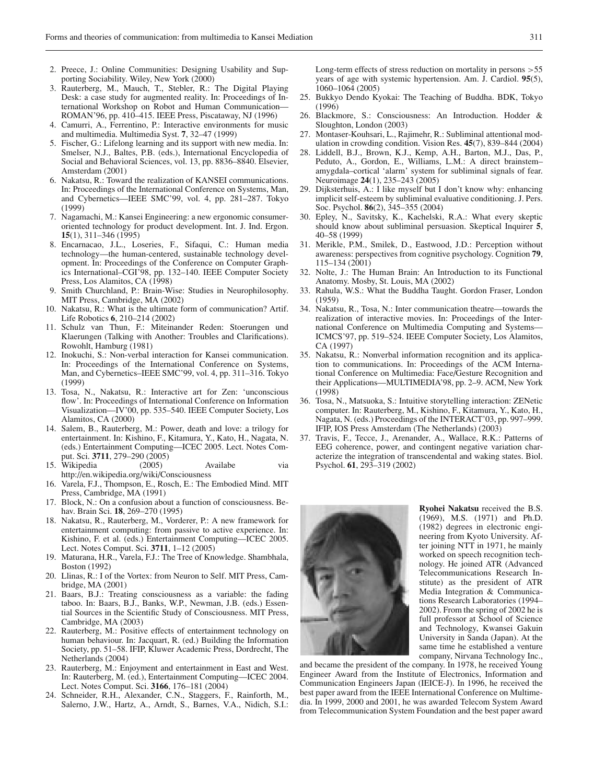- <span id="page-7-0"></span>2. Preece, J.: Online Communities: Designing Usability and Supporting Sociability. Wiley, New York (2000)
- <span id="page-7-1"></span>3. Rauterberg, M., Mauch, T., Stebler, R.: The Digital Playing Desk: a case study for augmented reality. In: Proceedings of International Workshop on Robot and Human Communication— ROMAN'96, pp. 410–415. IEEE Press, Piscataway, NJ (1996)
- <span id="page-7-2"></span>4. Camurri, A., Ferrentino, P.: Interactive environments for music and multimedia. Multimedia Syst. **7**, 32–47 (1999)
- <span id="page-7-3"></span>5. Fischer, G.: Lifelong learning and its support with new media. In: Smelser, N.J., Baltes, P.B. (eds.), International Encyclopedia of Social and Behavioral Sciences, vol. 13, pp. 8836–8840. Elsevier, Amsterdam (2001)
- <span id="page-7-4"></span>6. Nakatsu, R.: Toward the realization of KANSEI communications. In: Proceedings of the International Conference on Systems, Man, and Cybernetics—IEEE SMC'99, vol. 4, pp. 281–287. Tokyo (1999)
- <span id="page-7-5"></span>7. Nagamachi, M.: Kansei Engineering: a new ergonomic consumeroriented technology for product development. Int. J. Ind. Ergon. **15**(1), 311–346 (1995)
- <span id="page-7-6"></span>8. Encarnacao, J.L., Loseries, F., Sifaqui, C.: Human media technology—the human-centered, sustainable technology development. In: Proceedings of the Conference on Computer Graphics International–CGI'98, pp. 132–140. IEEE Computer Society Press, Los Alamitos, CA (1998)
- 9. Smith Churchland, P.: Brain-Wise: Studies in Neurophilosophy. MIT Press, Cambridge, MA (2002)
- <span id="page-7-9"></span><span id="page-7-7"></span>10. Nakatsu, R.: What is the ultimate form of communication? Artif. Life Robotics **6**, 210–214 (2002)
- <span id="page-7-8"></span>11. Schulz van Thun, F.: Miteinander Reden: Stoerungen und Klaerungen (Talking with Another: Troubles and Clarifications). Rowohlt, Hamburg (1981)
- 12. Inokuchi, S.: Non-verbal interaction for Kansei communication. In: Proceedings of the International Conference on Systems, Man, and Cybernetics–IEEE SMC'99, vol. 4, pp. 311–316. Tokyo (1999)
- <span id="page-7-31"></span>13. Tosa, N., Nakatsu, R.: Interactive art for Zen: 'unconscious flow'. In: Proceedings of International Conference on Information Visualization—IV'00, pp. 535–540. IEEE Computer Society, Los Alamitos, CA (2000)
- <span id="page-7-10"></span>14. Salem, B., Rauterberg, M.: Power, death and love: a trilogy for entertainment. In: Kishino, F., Kitamura, Y., Kato, H., Nagata, N. (eds.) Entertainment Computing—ICEC 2005. Lect. Notes Comput. Sci. **3711**, 279–290 (2005)
- <span id="page-7-12"></span>15. Wikipedia (2005) Availabe via http://en.wikipedia.org/wiki/Consciousness
- <span id="page-7-13"></span>16. Varela, F.J., Thompson, E., Rosch, E.: The Embodied Mind. MIT Press, Cambridge, MA (1991)
- <span id="page-7-14"></span>17. Block, N.: On a confusion about a function of consciousness. Behav. Brain Sci. **18**, 269–270 (1995)
- <span id="page-7-15"></span>18. Nakatsu, R., Rauterberg, M., Vorderer, P.: A new framework for entertainment computing: from passive to active experience. In: Kishino, F. et al. (eds.) Entertainment Computing—ICEC 2005. Lect. Notes Comput. Sci. **3711**, 1–12 (2005)
- <span id="page-7-16"></span>19. Maturana, H.R., Varela, F.J.: The Tree of Knowledge. Shambhala, Boston (1992)
- <span id="page-7-17"></span>20. Llinas, R.: I of the Vortex: from Neuron to Self. MIT Press, Cambridge, MA (2001)
- <span id="page-7-11"></span>21. Baars, B.J.: Treating consciousness as a variable: the fading taboo. In: Baars, B.J., Banks, W.P., Newman, J.B. (eds.) Essential Sources in the Scientific Study of Consciousness. MIT Press, Cambridge, MA (2003)
- <span id="page-7-18"></span>22. Rauterberg, M.: Positive effects of entertainment technology on human behaviour. In: Jacquart, R. (ed.) Building the Information Society, pp. 51–58. IFIP, Kluwer Academic Press, Dordrecht, The Netherlands (2004)
- <span id="page-7-19"></span>23. Rauterberg, M.: Enjoyment and entertainment in East and West. In: Rauterberg, M. (ed.), Entertainment Computing—ICEC 2004. Lect. Notes Comput. Sci. **3166**, 176–181 (2004)
- <span id="page-7-20"></span>24. Schneider, R.H., Alexander, C.N., Staggers, F., Rainforth, M., Salerno, J.W., Hartz, A., Arndt, S., Barnes, V.A., Nidich, S.I.:

Long-term effects of stress reduction on mortality in persons  $> 55$ years of age with systemic hypertension. Am. J. Cardiol. **95**(5), 1060–1064 (2005)

- <span id="page-7-21"></span>25. Bukkyo Dendo Kyokai: The Teaching of Buddha. BDK, Tokyo (1996)
- <span id="page-7-22"></span>26. Blackmore, S.: Consciousness: An Introduction. Hodder & Sloughton, London (2003)
- <span id="page-7-23"></span>27. Montaser-Kouhsari, L., Rajimehr, R.: Subliminal attentional modulation in crowding condition. Vision Res. **45**(7), 839–844 (2004)
- <span id="page-7-24"></span>28. Liddell, B.J., Brown, K.J., Kemp, A.H., Barton, M.J., Das, P., Peduto, A., Gordon, E., Williams, L.M.: A direct brainstem– amygdala–cortical 'alarm' system for subliminal signals of fear. Neuroimage **24**(1), 235–243 (2005)
- <span id="page-7-25"></span>29. Dijksterhuis, A.: I like myself but I don't know why: enhancing implicit self-esteem by subliminal evaluative conditioning. J. Pers. Soc. Psychol. **86**(2), 345–355 (2004)
- <span id="page-7-26"></span>30. Epley, N., Savitsky, K., Kachelski, R.A.: What every skeptic should know about subliminal persuasion. Skeptical Inquirer **5**, 40–58 (1999)
- <span id="page-7-27"></span>31. Merikle, P.M., Smilek, D., Eastwood, J.D.: Perception without awareness: perspectives from cognitive psychology. Cognition **79**, 115–134 (2001)
- <span id="page-7-28"></span>32. Nolte, J.: The Human Brain: An Introduction to its Functional Anatomy. Mosby, St. Louis, MA (2002)
- <span id="page-7-29"></span>33. Rahula, W.S.: What the Buddha Taught. Gordon Fraser, London (1959)
- <span id="page-7-30"></span>34. Nakatsu, R., Tosa, N.: Inter communication theatre—towards the realization of interactive movies. In: Proceedings of the International Conference on Multimedia Computing and Systems— ICMCS'97, pp. 519–524. IEEE Computer Society, Los Alamitos, CA (1997)
- 35. Nakatsu, R.: Nonverbal information recognition and its application to communications. In: Proceedings of the ACM International Conference on Multimedia: Face/Gesture Recognition and their Applications—MULTIMEDIA'98, pp. 2–9. ACM, New York (1998)
- <span id="page-7-32"></span>36. Tosa, N., Matsuoka, S.: Intuitive storytelling interaction: ZENetic computer. In: Rauterberg, M., Kishino, F., Kitamura, Y., Kato, H., Nagata, N. (eds.) Proceedings of the INTERACT'03, pp. 997–999. IFIP, IOS Press Amsterdam (The Netherlands) (2003)
- <span id="page-7-33"></span>37. Travis, F., Tecce, J., Arenander, A., Wallace, R.K.: Patterns of EEG coherence, power, and contingent negative variation characterize the integration of transcendental and waking states. Biol. Psychol. **61**, 293–319 (2002)



**Ryohei Nakatsu** received the B.S. (1969), M.S. (1971) and Ph.D. (1982) degrees in electronic engineering from Kyoto University. After joining NTT in 1971, he mainly worked on speech recognition technology. He joined ATR (Advanced Telecommunications Research Institute) as the president of ATR Media Integration & Communications Research Laboratories (1994– 2002). From the spring of 2002 he is full professor at School of Science and Technology, Kwansei Gakuin University in Sanda (Japan). At the same time he established a venture company, Nirvana Technology Inc.,

and became the president of the company. In 1978, he received Young Engineer Award from the Institute of Electronics, Information and Communication Engineers Japan (IEICE-J). In 1996, he received the best paper award from the IEEE International Conference on Multimedia. In 1999, 2000 and 2001, he was awarded Telecom System Award from Telecommunication System Foundation and the best paper award